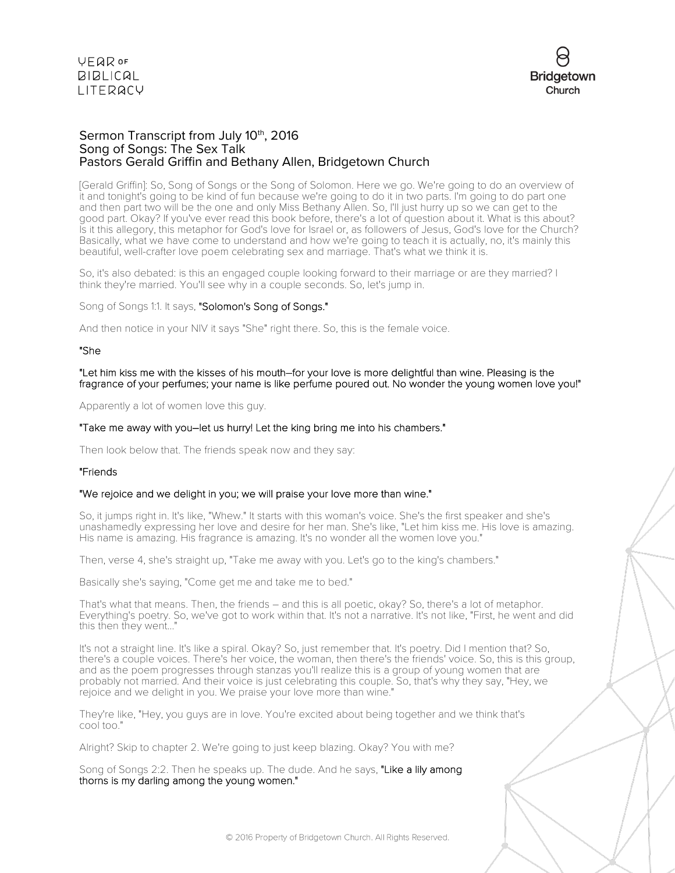



## Sermon Transcript from July 10<sup>th</sup>, 2016 Song of Songs: The Sex Talk Pastors Gerald Griffin and Bethany Allen, Bridgetown Church

[Gerald Griffin]: So, Song of Songs or the Song of Solomon. Here we go. We're going to do an overview of it and tonight's going to be kind of fun because we're going to do it in two parts. I'm going to do part one and then part two will be the one and only Miss Bethany Allen. So, I'll just hurry up so we can get to the good part. Okay? If you've ever read this book before, there's a lot of question about it. What is this about? Is it this allegory, this metaphor for God's love for Israel or, as followers of Jesus, God's love for the Church? Basically, what we have come to understand and how we're going to teach it is actually, no, it's mainly this beautiful, well-crafter love poem celebrating sex and marriage. That's what we think it is.

So, it's also debated: is this an engaged couple looking forward to their marriage or are they married? I think they're married. You'll see why in a couple seconds. So, let's jump in.

Song of Songs 1:1. It says, "Solomon's Song of Songs."

And then notice in your NIV it says "She" right there. So, this is the female voice.

#### "She

"Let him kiss me with the kisses of his mouth–for your love is more delightful than wine. Pleasing is the fragrance of your perfumes; your name is like perfume poured out. No wonder the young women love you!"

Apparently a lot of women love this guy.

#### "Take me away with you–let us hurry! Let the king bring me into his chambers."

Then look below that. The friends speak now and they say:

## "Friends

### "We rejoice and we delight in you; we will praise your love more than wine."

So, it jumps right in. It's like, "Whew." It starts with this woman's voice. She's the first speaker and she's unashamedly expressing her love and desire for her man. She's like, "Let him kiss me. His love is amazing. His name is amazing. His fragrance is amazing. It's no wonder all the women love you."

Then, verse 4, she's straight up, "Take me away with you. Let's go to the king's chambers."

Basically she's saying, "Come get me and take me to bed."

That's what that means. Then, the friends – and this is all poetic, okay? So, there's a lot of metaphor. Everything's poetry. So, we've got to work within that. It's not a narrative. It's not like, "First, he went and did this then they went..."

It's not a straight line. It's like a spiral. Okay? So, just remember that. It's poetry. Did I mention that? So, there's a couple voices. There's her voice, the woman, then there's the friends' voice. So, this is this group, and as the poem progresses through stanzas you'll realize this is a group of young women that are probably not married. And their voice is just celebrating this couple. So, that's why they say, "Hey, we rejoice and we delight in you. We praise your love more than wine."

They're like, "Hey, you guys are in love. You're excited about being together and we think that's cool too."

Alright? Skip to chapter 2. We're going to just keep blazing. Okay? You with me?

Song of Songs 2:2. Then he speaks up. The dude. And he says, "Like a lily among thorns is my darling among the young women."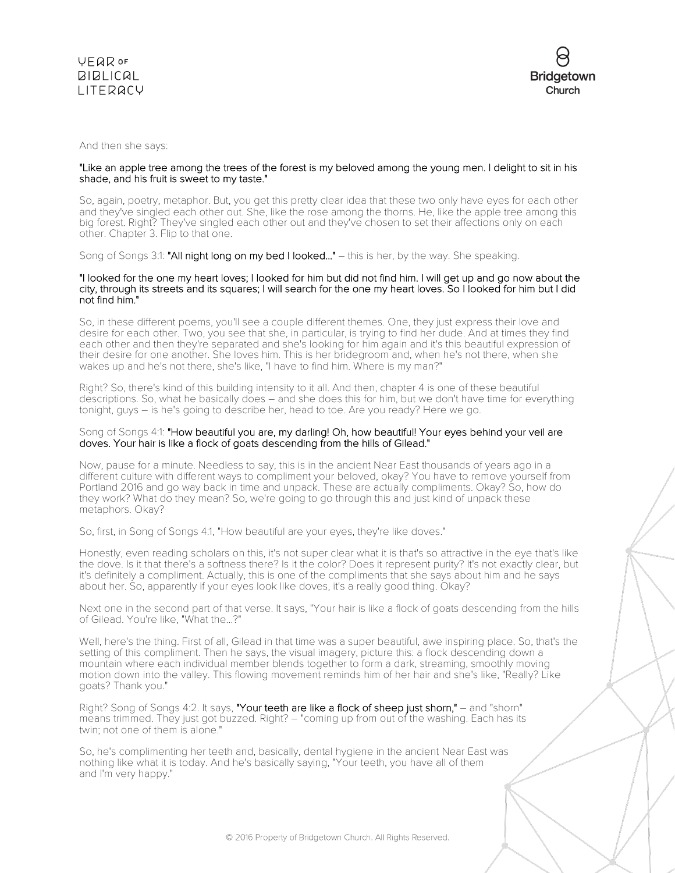

And then she says:

## "Like an apple tree among the trees of the forest is my beloved among the young men. I delight to sit in his shade, and his fruit is sweet to my taste."

So, again, poetry, metaphor. But, you get this pretty clear idea that these two only have eyes for each other and they've singled each other out. She, like the rose among the thorns. He, like the apple tree among this big forest. Right? They've singled each other out and they've chosen to set their affections only on each other. Chapter 3. Flip to that one.

Song of Songs 3:1: "All night long on my bed I looked..." – this is her, by the way. She speaking.

### "I looked for the one my heart loves; I looked for him but did not find him. I will get up and go now about the city, through its streets and its squares; I will search for the one my heart loves. So I looked for him but I did not find him."

So, in these different poems, you'll see a couple different themes. One, they just express their love and desire for each other. Two, you see that she, in particular, is trying to find her dude. And at times they find each other and then they're separated and she's looking for him again and it's this beautiful expression of their desire for one another. She loves him. This is her bridegroom and, when he's not there, when she wakes up and he's not there, she's like, "I have to find him. Where is my man?"

Right? So, there's kind of this building intensity to it all. And then, chapter 4 is one of these beautiful descriptions. So, what he basically does – and she does this for him, but we don't have time for everything tonight, guys – is he's going to describe her, head to toe. Are you ready? Here we go.

## Song of Songs 4:1: "How beautiful you are, my darling! Oh, how beautiful! Your eyes behind your veil are doves. Your hair is like a flock of goats descending from the hills of Gilead."

Now, pause for a minute. Needless to say, this is in the ancient Near East thousands of years ago in a different culture with different ways to compliment your beloved, okay? You have to remove yourself from Portland 2016 and go way back in time and unpack. These are actually compliments. Okay? So, how do they work? What do they mean? So, we're going to go through this and just kind of unpack these metaphors. Okay?

So, first, in Song of Songs 4:1, "How beautiful are your eyes, they're like doves."

Honestly, even reading scholars on this, it's not super clear what it is that's so attractive in the eye that's like the dove. Is it that there's a softness there? Is it the color? Does it represent purity? It's not exactly clear, but it's definitely a compliment. Actually, this is one of the compliments that she says about him and he says about her. So, apparently if your eyes look like doves, it's a really good thing. Okay?

Next one in the second part of that verse. It says, "Your hair is like a flock of goats descending from the hills of Gilead. You're like, "What the...?"

Well, here's the thing. First of all, Gilead in that time was a super beautiful, awe inspiring place. So, that's the setting of this compliment. Then he says, the visual imagery, picture this: a flock descending down a mountain where each individual member blends together to form a dark, streaming, smoothly moving motion down into the valley. This flowing movement reminds him of her hair and she's like, "Really? Like goats? Thank you."

Right? Song of Songs 4:2. It says, "Your teeth are like a flock of sheep just shorn," – and "shorn" means trimmed. They just got buzzed. Right? – "coming up from out of the washing. Each has its twin; not one of them is alone."

So, he's complimenting her teeth and, basically, dental hygiene in the ancient Near East was nothing like what it is today. And he's basically saying, "Your teeth, you have all of them and I'm very happy."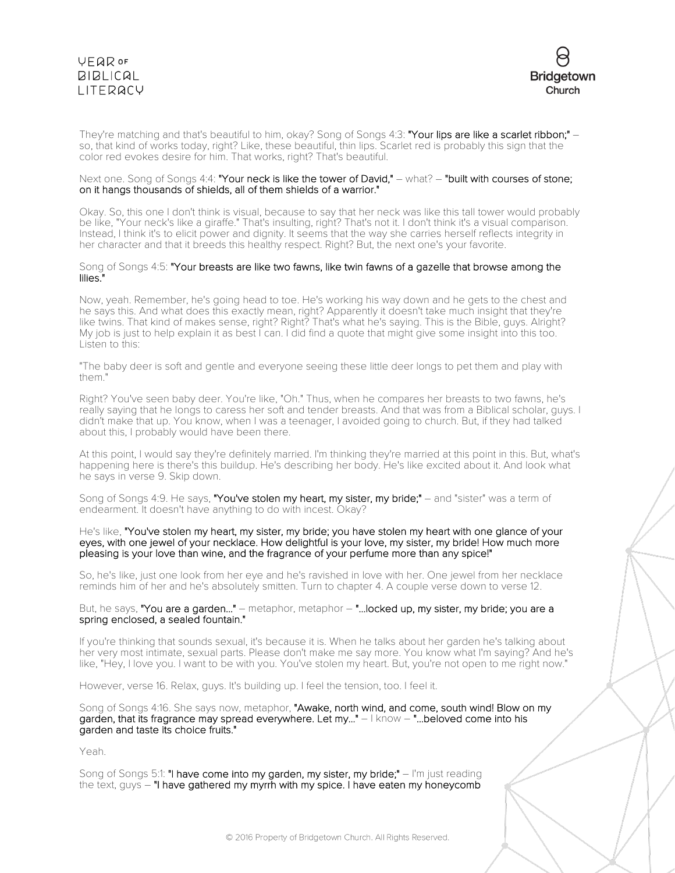



They're matching and that's beautiful to him, okay? Song of Songs 4:3: **"Your lips are like a scarlet ribbon;" –** so, that kind of works today, right? Like, these beautiful, thin lips. Scarlet red is probably this sign that the color red evokes desire for him. That works, right? That's beautiful.

#### Next one. Song of Songs 4:4: "Your neck is like the tower of David," – what? – "built with courses of stone; on it hangs thousands of shields, all of them shields of a warrior."

Okay. So, this one I don't think is visual, because to say that her neck was like this tall tower would probably be like, "Your neck's like a giraffe." That's insulting, right? That's not it. I don't think it's a visual comparison. Instead, I think it's to elicit power and dignity. It seems that the way she carries herself reflects integrity in her character and that it breeds this healthy respect. Right? But, the next one's your favorite.

#### Song of Songs 4:5: "Your breasts are like two fawns, like twin fawns of a gazelle that browse among the lilies."

Now, yeah. Remember, he's going head to toe. He's working his way down and he gets to the chest and he says this. And what does this exactly mean, right? Apparently it doesn't take much insight that they're like twins. That kind of makes sense, right? Right? That's what he's saying. This is the Bible, guys. Alright? My job is just to help explain it as best I can. I did find a quote that might give some insight into this too. Listen to this:

"The baby deer is soft and gentle and everyone seeing these little deer longs to pet them and play with them."

Right? You've seen baby deer. You're like, "Oh." Thus, when he compares her breasts to two fawns, he's really saying that he longs to caress her soft and tender breasts. And that was from a Biblical scholar, guys. I didn't make that up. You know, when I was a teenager, I avoided going to church. But, if they had talked about this, I probably would have been there.

At this point, I would say they're definitely married. I'm thinking they're married at this point in this. But, what's happening here is there's this buildup. He's describing her body. He's like excited about it. And look what he says in verse 9. Skip down.

Song of Songs 4:9. He says, "You've stolen my heart, my sister, my bride;" – and "sister" was a term of endearment. It doesn't have anything to do with incest. Okay?

He's like, "You've stolen my heart, my sister, my bride; you have stolen my heart with one glance of your eyes, with one jewel of your necklace. How delightful is your love, my sister, my bride! How much more pleasing is your love than wine, and the fragrance of your perfume more than any spice!"

So, he's like, just one look from her eye and he's ravished in love with her. One jewel from her necklace reminds him of her and he's absolutely smitten. Turn to chapter 4. A couple verse down to verse 12.

But, he says, "You are a garden..." – metaphor, metaphor – "...locked up, my sister, my bride; you are a spring enclosed, a sealed fountain."

If you're thinking that sounds sexual, it's because it is. When he talks about her garden he's talking about her very most intimate, sexual parts. Please don't make me say more. You know what I'm saying? And he's like, "Hey, I love you. I want to be with you. You've stolen my heart. But, you're not open to me right now."

However, verse 16. Relax, guys. It's building up. I feel the tension, too. I feel it.

Song of Songs 4:16. She says now, metaphor, "Awake, north wind, and come, south wind! Blow on my garden, that its fragrance may spread everywhere. Let my..."  $-1$  know  $-$  "...beloved come into his garden and taste its choice fruits."

Yeah.

Song of Songs 5:1: "I have come into my garden, my sister, my bride;" – I'm just reading the text, guys – "I have gathered my myrrh with my spice. I have eaten my honeycomb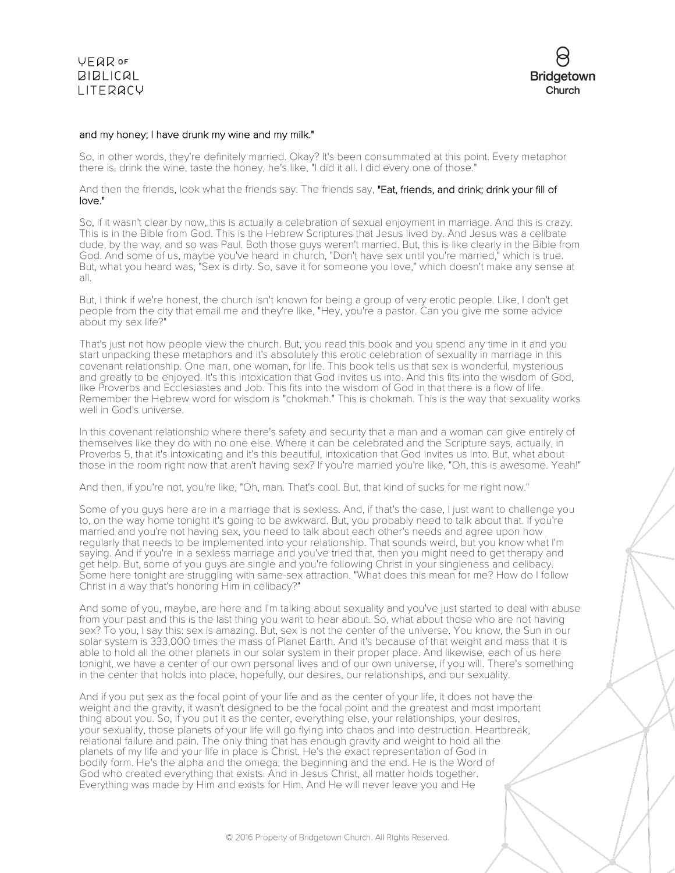**VEQR OF BIBLICAL** LITERACY



## and my honey; I have drunk my wine and my milk."

So, in other words, they're definitely married. Okay? It's been consummated at this point. Every metaphor there is, drink the wine, taste the honey, he's like, "I did it all. I did every one of those."

And then the friends, look what the friends say. The friends say, "Eat, friends, and drink; drink your fill of love."

So, if it wasn't clear by now, this is actually a celebration of sexual enjoyment in marriage. And this is crazy. This is in the Bible from God. This is the Hebrew Scriptures that Jesus lived by. And Jesus was a celibate dude, by the way, and so was Paul. Both those guys weren't married. But, this is like clearly in the Bible from God. And some of us, maybe you've heard in church, "Don't have sex until you're married," which is true. But, what you heard was, "Sex is dirty. So, save it for someone you love," which doesn't make any sense at all.

But, I think if we're honest, the church isn't known for being a group of very erotic people. Like, I don't get people from the city that email me and they're like, "Hey, you're a pastor. Can you give me some advice about my sex life?"

That's just not how people view the church. But, you read this book and you spend any time in it and you start unpacking these metaphors and it's absolutely this erotic celebration of sexuality in marriage in this covenant relationship. One man, one woman, for life. This book tells us that sex is wonderful, mysterious and greatly to be enjoyed. It's this intoxication that God invites us into. And this fits into the wisdom of God, like Proverbs and Ecclesiastes and Job. This fits into the wisdom of God in that there is a flow of life. Remember the Hebrew word for wisdom is "chokmah." This is chokmah. This is the way that sexuality works well in God's universe.

In this covenant relationship where there's safety and security that a man and a woman can give entirely of themselves like they do with no one else. Where it can be celebrated and the Scripture says, actually, in Proverbs 5, that it's intoxicating and it's this beautiful, intoxication that God invites us into. But, what about those in the room right now that aren't having sex? If you're married you're like, "Oh, this is awesome. Yeah!"

And then, if you're not, you're like, "Oh, man. That's cool. But, that kind of sucks for me right now."

Some of you guys here are in a marriage that is sexless. And, if that's the case, I just want to challenge you to, on the way home tonight it's going to be awkward. But, you probably need to talk about that. If you're married and you're not having sex, you need to talk about each other's needs and agree upon how regularly that needs to be implemented into your relationship. That sounds weird, but you know what I'm saying. And if you're in a sexless marriage and you've tried that, then you might need to get therapy and get help. But, some of you guys are single and you're following Christ in your singleness and celibacy. Some here tonight are struggling with same-sex attraction. "What does this mean for me? How do I follow Christ in a way that's honoring Him in celibacy?"

And some of you, maybe, are here and I'm talking about sexuality and you've just started to deal with abuse from your past and this is the last thing you want to hear about. So, what about those who are not having sex? To you, I say this: sex is amazing. But, sex is not the center of the universe. You know, the Sun in our solar system is 333,000 times the mass of Planet Earth. And it's because of that weight and mass that it is able to hold all the other planets in our solar system in their proper place. And likewise, each of us here tonight, we have a center of our own personal lives and of our own universe, if you will. There's something in the center that holds into place, hopefully, our desires, our relationships, and our sexuality.

And if you put sex as the focal point of your life and as the center of your life, it does not have the weight and the gravity, it wasn't designed to be the focal point and the greatest and most important thing about you. So, if you put it as the center, everything else, your relationships, your desires, your sexuality, those planets of your life will go flying into chaos and into destruction. Heartbreak, relational failure and pain. The only thing that has enough gravity and weight to hold all the planets of my life and your life in place is Christ. He's the exact representation of God in bodily form. He's the alpha and the omega; the beginning and the end. He is the Word of God who created everything that exists. And in Jesus Christ, all matter holds together. Everything was made by Him and exists for Him. And He will never leave you and He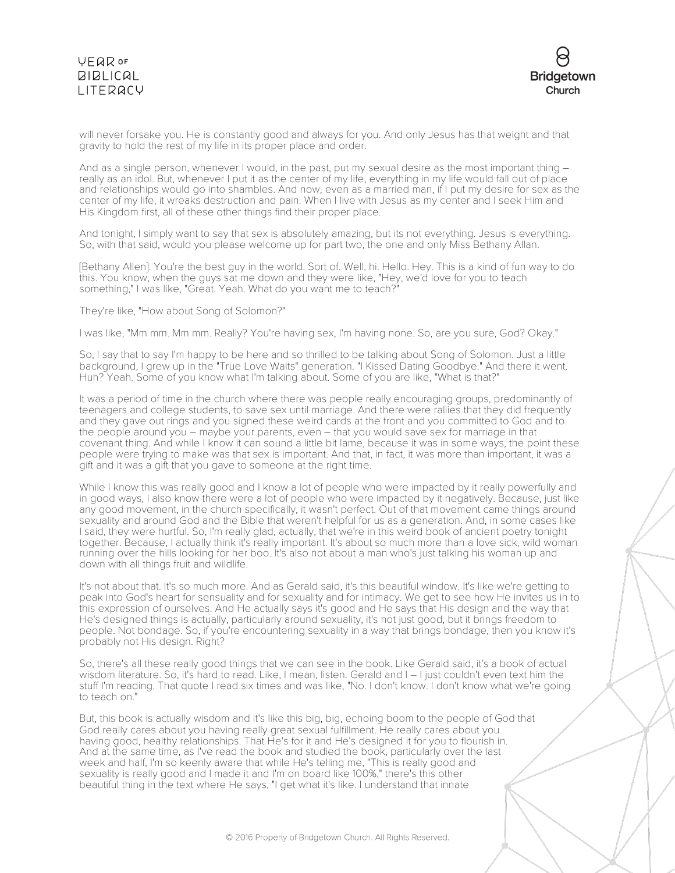

will never forsake you. He is constantly good and always for you. And only Jesus has that weight and that gravity to hold the rest of my life in its proper place and order.

And as a single person, whenever I would, in the past, put my sexual desire as the most important thing really as an idol. But, whenever I put it as the center of my life, everything in my life would fall out of place and relationships would go into shambles. And now, even as a married man, if I put my desire for sex as the center of my life, it wreaks destruction and pain. When I live with Jesus as my center and I seek Him and His Kingdom first, all of these other things find their proper place.

And tonight, I simply want to say that sex is absolutely amazing, but its not everything. Jesus is everything. So, with that said, would you please welcome up for part two, the one and only Miss Bethany Allan.

[Bethany Allen]: You're the best guy in the world. Sort of. Well, hi. Hello. Hey. This is a kind of fun way to do this. You know, when the guys sat me down and they were like, "Hey, we'd love for you to teach something," I was like, "Great. Yeah. What do you want me to teach?"

They're like, "How about Song of Solomon?"

I was like, "Mm mm. Mm mm. Really? You're having sex, I'm having none. So, are you sure, God? Okay."

So, I say that to say I'm happy to be here and so thrilled to be talking about Song of Solomon. Just a little background, I grew up in the "True Love Waits" generation. "I Kissed Dating Goodbye." And there it went. Huh? Yeah. Some of you know what I'm talking about. Some of you are like, "What is that?"

It was a period of time in the church where there was people really encouraging groups, predominantly of teenagers and college students, to save sex until marriage. And there were rallies that they did frequently and they gave out rings and you signed these weird cards at the front and you committed to God and to the people around you – maybe your parents, even – that you would save sex for marriage in that covenant thing. And while I know it can sound a little bit lame, because it was in some ways, the point these people were trying to make was that sex is important. And that, in fact, it was more than important, it was a gift and it was a gift that you gave to someone at the right time.

While I know this was really good and I know a lot of people who were impacted by it really powerfully and in good ways, I also know there were a lot of people who were impacted by it negatively. Because, just like any good movement, in the church specifically, it wasn't perfect. Out of that movement came things around sexuality and around God and the Bible that weren't helpful for us as a generation. And, in some cases like I said, they were hurtful. So, I'm really glad, actually, that we're in this weird book of ancient poetry tonight together. Because, I actually think it's really important. It's about so much more than a love sick, wild woman running over the hills looking for her boo. It's also not about a man who's just talking his woman up and down with all things fruit and wildlife.

It's not about that. It's so much more. And as Gerald said, it's this beautiful window. It's like we're getting to peak into God's heart for sensuality and for sexuality and for intimacy. We get to see how He invites us in to this expression of ourselves. And He actually says it's good and He says that His design and the way that He's designed things is actually, particularly around sexuality, it's not just good, but it brings freedom to people. Not bondage. So, if you're encountering sexuality in a way that brings bondage, then you know it's probably not His design. Right?

So, there's all these really good things that we can see in the book. Like Gerald said, it's a book of actual wisdom literature. So, it's hard to read. Like, I mean, listen. Gerald and I – I just couldn't even text him the stuff I'm reading. That quote I read six times and was like, "No. I don't know. I don't know what we're going to teach on."

But, this book is actually wisdom and it's like this big, big, echoing boom to the people of God that God really cares about you having really great sexual fulfillment. He really cares about you having good, healthy relationships. That He's for it and He's designed it for you to flourish in. And at the same time, as I've read the book and studied the book, particularly over the last week and half, I'm so keenly aware that while He's telling me, "This is really good and sexuality is really good and I made it and I'm on board like 100%," there's this other beautiful thing in the text where He says, "I get what it's like. I understand that innate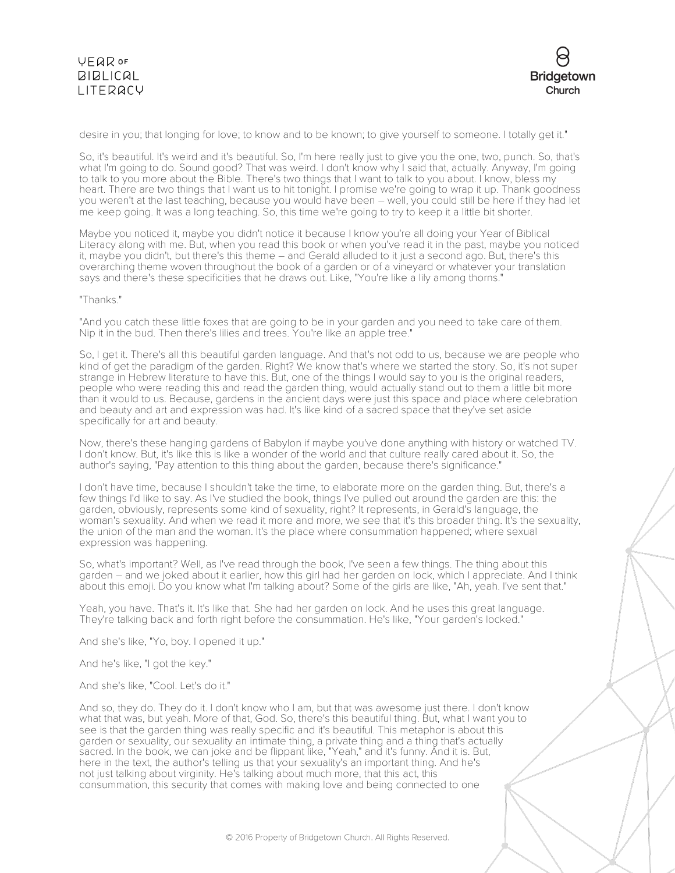

desire in you; that longing for love; to know and to be known; to give yourself to someone. I totally get it."

So, it's beautiful. It's weird and it's beautiful. So, I'm here really just to give you the one, two, punch. So, that's what I'm going to do. Sound good? That was weird. I don't know why I said that, actually. Anyway, I'm going to talk to you more about the Bible. There's two things that I want to talk to you about. I know, bless my heart. There are two things that I want us to hit tonight. I promise we're going to wrap it up. Thank goodness you weren't at the last teaching, because you would have been – well, you could still be here if they had let me keep going. It was a long teaching. So, this time we're going to try to keep it a little bit shorter.

Maybe you noticed it, maybe you didn't notice it because I know you're all doing your Year of Biblical Literacy along with me. But, when you read this book or when you've read it in the past, maybe you noticed it, maybe you didn't, but there's this theme – and Gerald alluded to it just a second ago. But, there's this overarching theme woven throughout the book of a garden or of a vineyard or whatever your translation says and there's these specificities that he draws out. Like, "You're like a lily among thorns."

## "Thanks."

"And you catch these little foxes that are going to be in your garden and you need to take care of them. Nip it in the bud. Then there's lilies and trees. You're like an apple tree."

So, I get it. There's all this beautiful garden language. And that's not odd to us, because we are people who kind of get the paradigm of the garden. Right? We know that's where we started the story. So, it's not super strange in Hebrew literature to have this. But, one of the things I would say to you is the original readers, people who were reading this and read the garden thing, would actually stand out to them a little bit more than it would to us. Because, gardens in the ancient days were just this space and place where celebration and beauty and art and expression was had. It's like kind of a sacred space that they've set aside specifically for art and beauty.

Now, there's these hanging gardens of Babylon if maybe you've done anything with history or watched TV. I don't know. But, it's like this is like a wonder of the world and that culture really cared about it. So, the author's saying, "Pay attention to this thing about the garden, because there's significance."

I don't have time, because I shouldn't take the time, to elaborate more on the garden thing. But, there's a few things I'd like to say. As I've studied the book, things I've pulled out around the garden are this: the garden, obviously, represents some kind of sexuality, right? It represents, in Gerald's language, the woman's sexuality. And when we read it more and more, we see that it's this broader thing. It's the sexuality, the union of the man and the woman. It's the place where consummation happened; where sexual expression was happening.

So, what's important? Well, as I've read through the book, I've seen a few things. The thing about this garden – and we joked about it earlier, how this girl had her garden on lock, which I appreciate. And I think about this emoji. Do you know what I'm talking about? Some of the girls are like, "Ah, yeah. I've sent that."

Yeah, you have. That's it. It's like that. She had her garden on lock. And he uses this great language. They're talking back and forth right before the consummation. He's like, "Your garden's locked."

And she's like, "Yo, boy. I opened it up."

And he's like, "I got the key."

And she's like, "Cool. Let's do it."

And so, they do. They do it. I don't know who I am, but that was awesome just there. I don't know what that was, but yeah. More of that, God. So, there's this beautiful thing. But, what I want you to see is that the garden thing was really specific and it's beautiful. This metaphor is about this garden or sexuality, our sexuality an intimate thing, a private thing and a thing that's actually sacred. In the book, we can joke and be flippant like, "Yeah," and it's funny. And it is. But, here in the text, the author's telling us that your sexuality's an important thing. And he's not just talking about virginity. He's talking about much more, that this act, this consummation, this security that comes with making love and being connected to one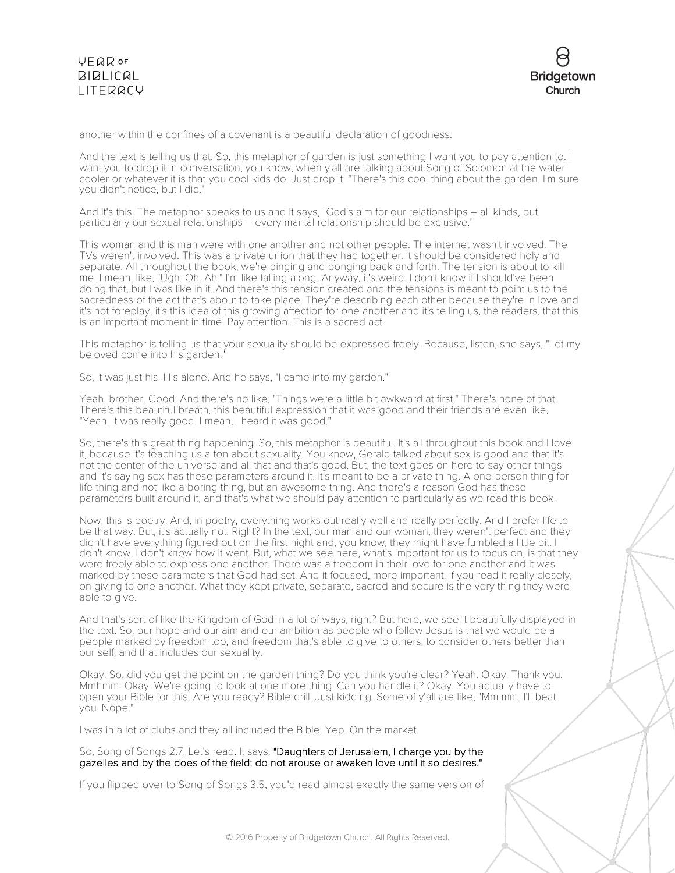



another within the confines of a covenant is a beautiful declaration of goodness.

And the text is telling us that. So, this metaphor of garden is just something I want you to pay attention to. I want you to drop it in conversation, you know, when y'all are talking about Song of Solomon at the water cooler or whatever it is that you cool kids do. Just drop it. "There's this cool thing about the garden. I'm sure you didn't notice, but I did."

And it's this. The metaphor speaks to us and it says, "God's aim for our relationships – all kinds, but particularly our sexual relationships – every marital relationship should be exclusive."

This woman and this man were with one another and not other people. The internet wasn't involved. The TVs weren't involved. This was a private union that they had together. It should be considered holy and separate. All throughout the book, we're pinging and ponging back and forth. The tension is about to kill me. I mean, like, "Ugh. Oh. Ah." I'm like falling along. Anyway, it's weird. I don't know if I should've been doing that, but I was like in it. And there's this tension created and the tensions is meant to point us to the sacredness of the act that's about to take place. They're describing each other because they're in love and it's not foreplay, it's this idea of this growing affection for one another and it's telling us, the readers, that this is an important moment in time. Pay attention. This is a sacred act.

This metaphor is telling us that your sexuality should be expressed freely. Because, listen, she says, "Let my beloved come into his garden."

So, it was just his. His alone. And he says, "I came into my garden."

Yeah, brother. Good. And there's no like, "Things were a little bit awkward at first." There's none of that. There's this beautiful breath, this beautiful expression that it was good and their friends are even like, "Yeah. It was really good. I mean, I heard it was good."

So, there's this great thing happening. So, this metaphor is beautiful. It's all throughout this book and I love it, because it's teaching us a ton about sexuality. You know, Gerald talked about sex is good and that it's not the center of the universe and all that and that's good. But, the text goes on here to say other things and it's saying sex has these parameters around it. It's meant to be a private thing. A one-person thing for life thing and not like a boring thing, but an awesome thing. And there's a reason God has these parameters built around it, and that's what we should pay attention to particularly as we read this book.

Now, this is poetry. And, in poetry, everything works out really well and really perfectly. And I prefer life to be that way. But, it's actually not. Right? In the text, our man and our woman, they weren't perfect and they didn't have everything figured out on the first night and, you know, they might have fumbled a little bit. I don't know. I don't know how it went. But, what we see here, what's important for us to focus on, is that they were freely able to express one another. There was a freedom in their love for one another and it was marked by these parameters that God had set. And it focused, more important, if you read it really closely, on giving to one another. What they kept private, separate, sacred and secure is the very thing they were able to give.

And that's sort of like the Kingdom of God in a lot of ways, right? But here, we see it beautifully displayed in the text. So, our hope and our aim and our ambition as people who follow Jesus is that we would be a people marked by freedom too, and freedom that's able to give to others, to consider others better than our self, and that includes our sexuality.

Okay. So, did you get the point on the garden thing? Do you think you're clear? Yeah. Okay. Thank you. Mmhmm. Okay. We're going to look at one more thing. Can you handle it? Okay. You actually have to open your Bible for this. Are you ready? Bible drill. Just kidding. Some of y'all are like, "Mm mm. I'll beat you. Nope."

I was in a lot of clubs and they all included the Bible. Yep. On the market.

So, Song of Songs 2:7. Let's read. It says, "Daughters of Jerusalem, I charge you by the gazelles and by the does of the field: do not arouse or awaken love until it so desires."

If you flipped over to Song of Songs 3:5, you'd read almost exactly the same version of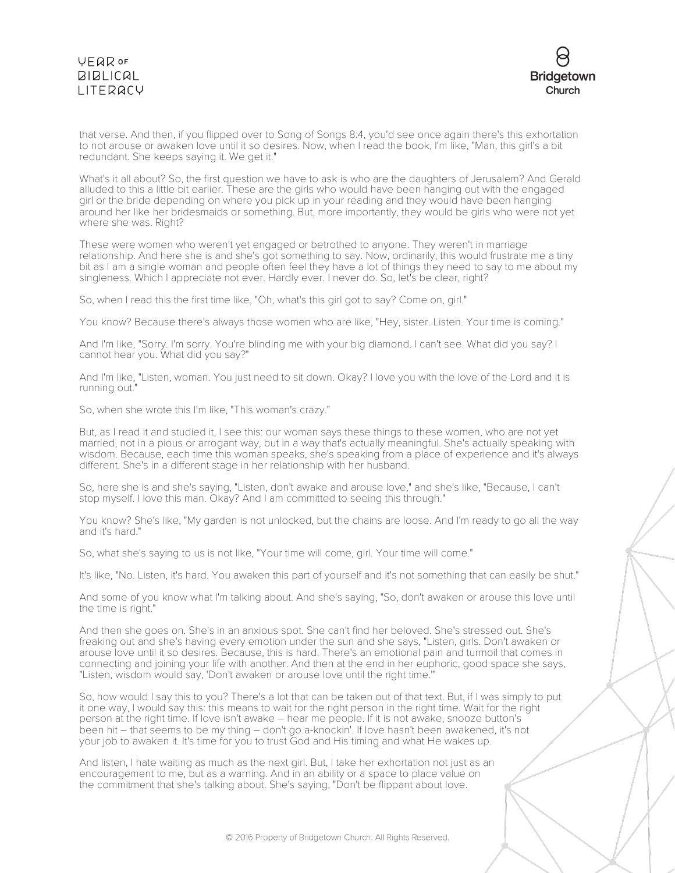# **VFQR OF BIBLICAL** LITERACY



that verse. And then, if you flipped over to Song of Songs 8:4, you'd see once again there's this exhortation to not arouse or awaken love until it so desires. Now, when I read the book, I'm like, "Man, this girl's a bit redundant. She keeps saying it. We get it."

What's it all about? So, the first question we have to ask is who are the daughters of Jerusalem? And Gerald alluded to this a little bit earlier. These are the girls who would have been hanging out with the engaged girl or the bride depending on where you pick up in your reading and they would have been hanging around her like her bridesmaids or something. But, more importantly, they would be girls who were not yet where she was. Right?

These were women who weren't yet engaged or betrothed to anyone. They weren't in marriage relationship. And here she is and she's got something to say. Now, ordinarily, this would frustrate me a tiny bit as I am a single woman and people often feel they have a lot of things they need to say to me about my singleness. Which I appreciate not ever. Hardly ever. I never do. So, let's be clear, right?

So, when I read this the first time like, "Oh, what's this girl got to say? Come on, girl."

You know? Because there's always those women who are like, "Hey, sister. Listen. Your time is coming."

And I'm like, "Sorry. I'm sorry. You're blinding me with your big diamond. I can't see. What did you say? I cannot hear you. What did you say?"

And I'm like, "Listen, woman. You just need to sit down. Okay? I love you with the love of the Lord and it is running out."

So, when she wrote this I'm like, "This woman's crazy."

But, as I read it and studied it, I see this: our woman says these things to these women, who are not yet married, not in a pious or arrogant way, but in a way that's actually meaningful. She's actually speaking with wisdom. Because, each time this woman speaks, she's speaking from a place of experience and it's always different. She's in a different stage in her relationship with her husband.

So, here she is and she's saying, "Listen, don't awake and arouse love," and she's like, "Because, I can't stop myself. I love this man. Okay? And I am committed to seeing this through."

You know? She's like, "My garden is not unlocked, but the chains are loose. And I'm ready to go all the way and it's hard."

So, what she's saying to us is not like, "Your time will come, girl. Your time will come."

It's like, "No. Listen, it's hard. You awaken this part of yourself and it's not something that can easily be shut."

And some of you know what I'm talking about. And she's saying, "So, don't awaken or arouse this love until the time is right."

And then she goes on. She's in an anxious spot. She can't find her beloved. She's stressed out. She's freaking out and she's having every emotion under the sun and she says, "Listen, girls. Don't awaken or arouse love until it so desires. Because, this is hard. There's an emotional pain and turmoil that comes in connecting and joining your life with another. And then at the end in her euphoric, good space she says, "Listen, wisdom would say, 'Don't awaken or arouse love until the right time.'"

So, how would I say this to you? There's a lot that can be taken out of that text. But, if I was simply to put it one way, I would say this: this means to wait for the right person in the right time. Wait for the right person at the right time. If love isn't awake – hear me people. If it is not awake, snooze button's been hit – that seems to be my thing – don't go a-knockin'. If love hasn't been awakened, it's not your job to awaken it. It's time for you to trust God and His timing and what He wakes up.

And listen, I hate waiting as much as the next girl. But, I take her exhortation not just as an encouragement to me, but as a warning. And in an ability or a space to place value on the commitment that she's talking about. She's saying, "Don't be flippant about love.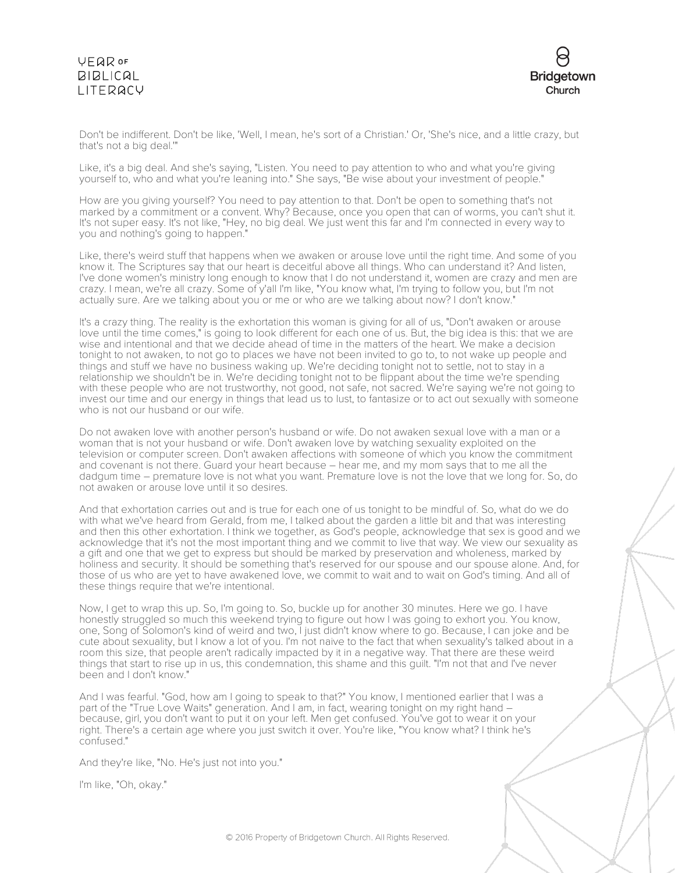# **VFQR OF**  $BIBLICAL$ LITERACY



Don't be indifferent. Don't be like, 'Well, I mean, he's sort of a Christian.' Or, 'She's nice, and a little crazy, but that's not a big deal.'"

Like, it's a big deal. And she's saying, "Listen. You need to pay attention to who and what you're giving yourself to, who and what you're leaning into." She says, "Be wise about your investment of people."

How are you giving yourself? You need to pay attention to that. Don't be open to something that's not marked by a commitment or a convent. Why? Because, once you open that can of worms, you can't shut it. It's not super easy. It's not like, "Hey, no big deal. We just went this far and I'm connected in every way to you and nothing's going to happen.

Like, there's weird stuff that happens when we awaken or arouse love until the right time. And some of you know it. The Scriptures say that our heart is deceitful above all things. Who can understand it? And listen, I've done women's ministry long enough to know that I do not understand it, women are crazy and men are crazy. I mean, we're all crazy. Some of y'all I'm like, "You know what, I'm trying to follow you, but I'm not actually sure. Are we talking about you or me or who are we talking about now? I don't know."

It's a crazy thing. The reality is the exhortation this woman is giving for all of us, "Don't awaken or arouse love until the time comes," is going to look different for each one of us. But, the big idea is this: that we are wise and intentional and that we decide ahead of time in the matters of the heart. We make a decision tonight to not awaken, to not go to places we have not been invited to go to, to not wake up people and things and stuff we have no business waking up. We're deciding tonight not to settle, not to stay in a relationship we shouldn't be in. We're deciding tonight not to be flippant about the time we're spending with these people who are not trustworthy, not good, not safe, not sacred. We're saying we're not going to invest our time and our energy in things that lead us to lust, to fantasize or to act out sexually with someone who is not our husband or our wife.

Do not awaken love with another person's husband or wife. Do not awaken sexual love with a man or a woman that is not your husband or wife. Don't awaken love by watching sexuality exploited on the television or computer screen. Don't awaken affections with someone of which you know the commitment and covenant is not there. Guard your heart because – hear me, and my mom says that to me all the dadgum time – premature love is not what you want. Premature love is not the love that we long for. So, do not awaken or arouse love until it so desires.

And that exhortation carries out and is true for each one of us tonight to be mindful of. So, what do we do with what we've heard from Gerald, from me, I talked about the garden a little bit and that was interesting and then this other exhortation. I think we together, as God's people, acknowledge that sex is good and we acknowledge that it's not the most important thing and we commit to live that way. We view our sexuality as a gift and one that we get to express but should be marked by preservation and wholeness, marked by holiness and security. It should be something that's reserved for our spouse and our spouse alone. And, for those of us who are yet to have awakened love, we commit to wait and to wait on God's timing. And all of these things require that we're intentional.

Now, I get to wrap this up. So, I'm going to. So, buckle up for another 30 minutes. Here we go. I have honestly struggled so much this weekend trying to figure out how I was going to exhort you. You know, one, Song of Solomon's kind of weird and two, I just didn't know where to go. Because, I can joke and be cute about sexuality, but I know a lot of you. I'm not naive to the fact that when sexuality's talked about in a room this size, that people aren't radically impacted by it in a negative way. That there are these weird things that start to rise up in us, this condemnation, this shame and this guilt. "I'm not that and I've never been and I don't know."

And I was fearful. "God, how am I going to speak to that?" You know, I mentioned earlier that I was a part of the "True Love Waits" generation. And I am, in fact, wearing tonight on my right hand – because, girl, you don't want to put it on your left. Men get confused. You've got to wear it on your right. There's a certain age where you just switch it over. You're like, "You know what? I think he's confused."

And they're like, "No. He's just not into you."

I'm like, "Oh, okay."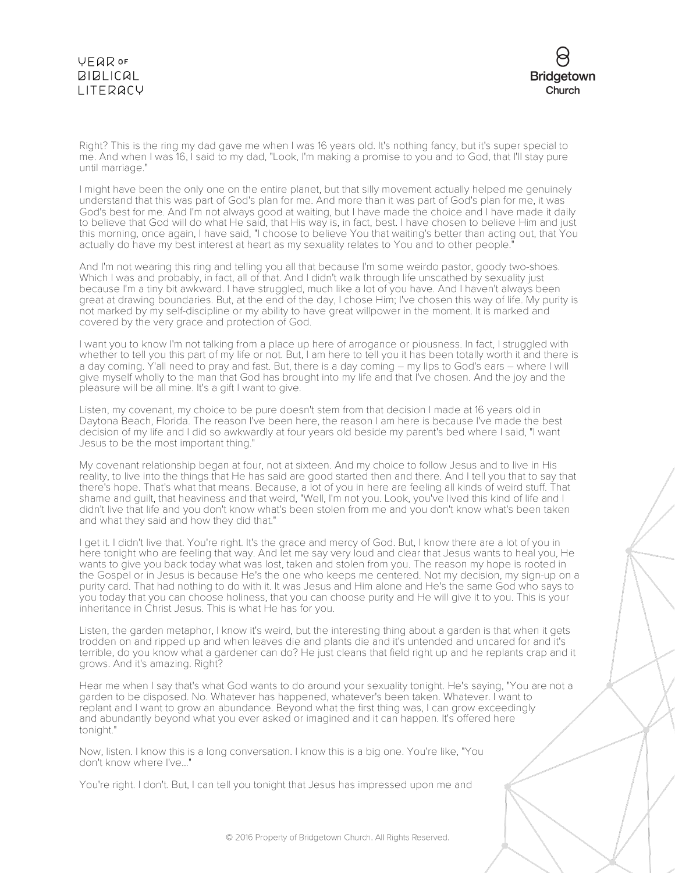# **VEQR OF BIBLICAL** LITERACY



Right? This is the ring my dad gave me when I was 16 years old. It's nothing fancy, but it's super special to me. And when I was 16, I said to my dad, "Look, I'm making a promise to you and to God, that I'll stay pure until marriage."

I might have been the only one on the entire planet, but that silly movement actually helped me genuinely understand that this was part of God's plan for me. And more than it was part of God's plan for me, it was God's best for me. And I'm not always good at waiting, but I have made the choice and I have made it daily to believe that God will do what He said, that His way is, in fact, best. I have chosen to believe Him and just this morning, once again, I have said, "I choose to believe You that waiting's better than acting out, that You actually do have my best interest at heart as my sexuality relates to You and to other people."

And I'm not wearing this ring and telling you all that because I'm some weirdo pastor, goody two-shoes. Which I was and probably, in fact, all of that. And I didn't walk through life unscathed by sexuality just because I'm a tiny bit awkward. I have struggled, much like a lot of you have. And I haven't always been great at drawing boundaries. But, at the end of the day, I chose Him; I've chosen this way of life. My purity is not marked by my self-discipline or my ability to have great willpower in the moment. It is marked and covered by the very grace and protection of God.

I want you to know I'm not talking from a place up here of arrogance or piousness. In fact, I struggled with whether to tell you this part of my life or not. But, I am here to tell you it has been totally worth it and there is a day coming. Y'all need to pray and fast. But, there is a day coming – my lips to God's ears – where I will give myself wholly to the man that God has brought into my life and that I've chosen. And the joy and the pleasure will be all mine. It's a gift I want to give.

Listen, my covenant, my choice to be pure doesn't stem from that decision I made at 16 years old in Daytona Beach, Florida. The reason I've been here, the reason I am here is because I've made the best decision of my life and I did so awkwardly at four years old beside my parent's bed where I said, "I want Jesus to be the most important thing."

My covenant relationship began at four, not at sixteen. And my choice to follow Jesus and to live in His reality, to live into the things that He has said are good started then and there. And I tell you that to say that there's hope. That's what that means. Because, a lot of you in here are feeling all kinds of weird stuff. That shame and guilt, that heaviness and that weird, "Well, I'm not you. Look, you've lived this kind of life and I didn't live that life and you don't know what's been stolen from me and you don't know what's been taken and what they said and how they did that."

I get it. I didn't live that. You're right. It's the grace and mercy of God. But, I know there are a lot of you in here tonight who are feeling that way. And let me say very loud and clear that Jesus wants to heal you, He wants to give you back today what was lost, taken and stolen from you. The reason my hope is rooted in the Gospel or in Jesus is because He's the one who keeps me centered. Not my decision, my sign-up on a purity card. That had nothing to do with it. It was Jesus and Him alone and He's the same God who says to you today that you can choose holiness, that you can choose purity and He will give it to you. This is your inheritance in Christ Jesus. This is what He has for you.

Listen, the garden metaphor, I know it's weird, but the interesting thing about a garden is that when it gets trodden on and ripped up and when leaves die and plants die and it's untended and uncared for and it's terrible, do you know what a gardener can do? He just cleans that field right up and he replants crap and it grows. And it's amazing. Right?

Hear me when I say that's what God wants to do around your sexuality tonight. He's saying, "You are not a garden to be disposed. No. Whatever has happened, whatever's been taken. Whatever. I want to replant and I want to grow an abundance. Beyond what the first thing was, I can grow exceedingly and abundantly beyond what you ever asked or imagined and it can happen. It's offered here tonight."

Now, listen. I know this is a long conversation. I know this is a big one. You're like, "You don't know where I've..."

You're right. I don't. But, I can tell you tonight that Jesus has impressed upon me and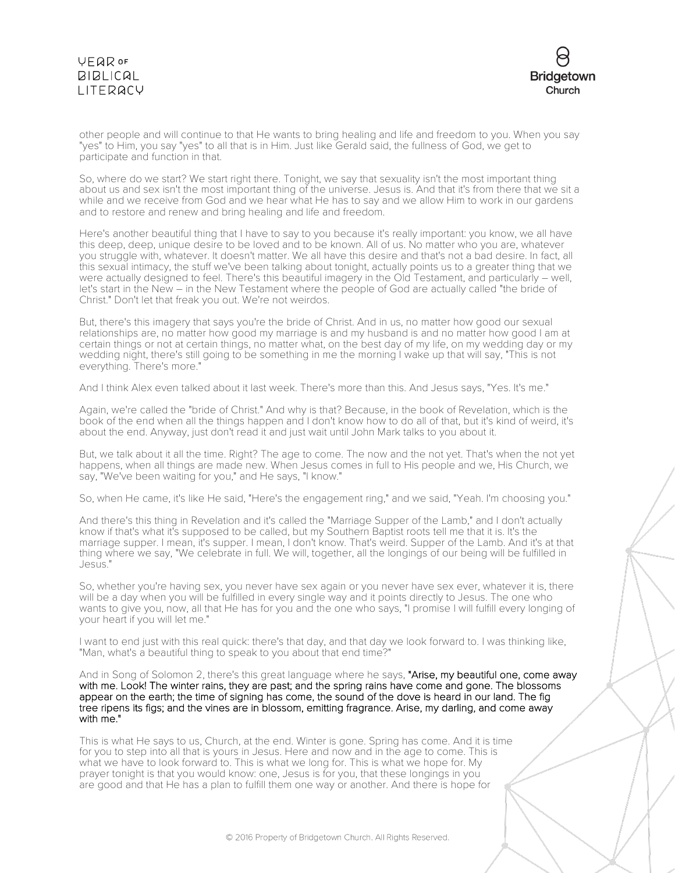# VEQROF **BIBLICAL** LITERACY



other people and will continue to that He wants to bring healing and life and freedom to you. When you say "yes" to Him, you say "yes" to all that is in Him. Just like Gerald said, the fullness of God, we get to participate and function in that.

So, where do we start? We start right there. Tonight, we say that sexuality isn't the most important thing about us and sex isn't the most important thing of the universe. Jesus is. And that it's from there that we sit a while and we receive from God and we hear what He has to say and we allow Him to work in our gardens and to restore and renew and bring healing and life and freedom.

Here's another beautiful thing that I have to say to you because it's really important: you know, we all have this deep, deep, unique desire to be loved and to be known. All of us. No matter who you are, whatever you struggle with, whatever. It doesn't matter. We all have this desire and that's not a bad desire. In fact, all this sexual intimacy, the stuff we've been talking about tonight, actually points us to a greater thing that we were actually designed to feel. There's this beautiful imagery in the Old Testament, and particularly – well, let's start in the New – in the New Testament where the people of God are actually called "the bride of Christ." Don't let that freak you out. We're not weirdos.

But, there's this imagery that says you're the bride of Christ. And in us, no matter how good our sexual relationships are, no matter how good my marriage is and my husband is and no matter how good I am at certain things or not at certain things, no matter what, on the best day of my life, on my wedding day or my wedding night, there's still going to be something in me the morning I wake up that will say, "This is not everything. There's more."

And I think Alex even talked about it last week. There's more than this. And Jesus says, "Yes. It's me."

Again, we're called the "bride of Christ." And why is that? Because, in the book of Revelation, which is the book of the end when all the things happen and I don't know how to do all of that, but it's kind of weird, it's about the end. Anyway, just don't read it and just wait until John Mark talks to you about it.

But, we talk about it all the time. Right? The age to come. The now and the not yet. That's when the not yet happens, when all things are made new. When Jesus comes in full to His people and we, His Church, we say, "We've been waiting for you," and He says, "I know."

So, when He came, it's like He said, "Here's the engagement ring," and we said, "Yeah. I'm choosing you."

And there's this thing in Revelation and it's called the "Marriage Supper of the Lamb," and I don't actually know if that's what it's supposed to be called, but my Southern Baptist roots tell me that it is. It's the marriage supper. I mean, it's supper. I mean, I don't know. That's weird. Supper of the Lamb. And it's at that thing where we say, "We celebrate in full. We will, together, all the longings of our being will be fulfilled in Jesus."

So, whether you're having sex, you never have sex again or you never have sex ever, whatever it is, there will be a day when you will be fulfilled in every single way and it points directly to Jesus. The one who wants to give you, now, all that He has for you and the one who says, "I promise I will fulfill every longing of your heart if you will let me."

I want to end just with this real quick: there's that day, and that day we look forward to. I was thinking like, "Man, what's a beautiful thing to speak to you about that end time?"

And in Song of Solomon 2, there's this great language where he says, "Arise, my beautiful one, come away with me. Look! The winter rains, they are past; and the spring rains have come and gone. The blossoms appear on the earth; the time of signing has come, the sound of the dove is heard in our land. The fig tree ripens its figs; and the vines are in blossom, emitting fragrance. Arise, my darling, and come away with me."

This is what He says to us, Church, at the end. Winter is gone. Spring has come. And it is time for you to step into all that is yours in Jesus. Here and now and in the age to come. This is what we have to look forward to. This is what we long for. This is what we hope for. My prayer tonight is that you would know: one, Jesus is for you, that these longings in you are good and that He has a plan to fulfill them one way or another. And there is hope for